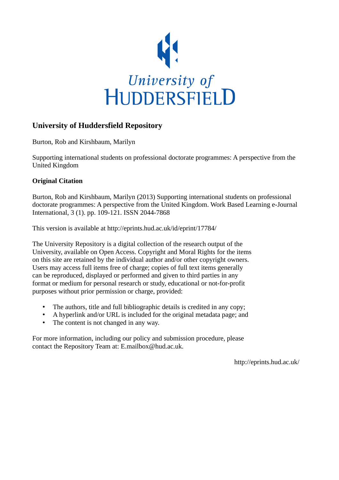

# **University of Huddersfield Repository**

Burton, Rob and Kirshbaum, Marilyn

Supporting international students on professional doctorate programmes: A perspective from the United Kingdom

# **Original Citation**

Burton, Rob and Kirshbaum, Marilyn (2013) Supporting international students on professional doctorate programmes: A perspective from the United Kingdom. Work Based Learning e-Journal International, 3 (1). pp. 109-121. ISSN 2044-7868

This version is available at http://eprints.hud.ac.uk/id/eprint/17784/

The University Repository is a digital collection of the research output of the University, available on Open Access. Copyright and Moral Rights for the items on this site are retained by the individual author and/or other copyright owners. Users may access full items free of charge; copies of full text items generally can be reproduced, displayed or performed and given to third parties in any format or medium for personal research or study, educational or not-for-profit purposes without prior permission or charge, provided:

- The authors, title and full bibliographic details is credited in any copy;
- A hyperlink and/or URL is included for the original metadata page; and
- The content is not changed in any way.

For more information, including our policy and submission procedure, please contact the Repository Team at: E.mailbox@hud.ac.uk.

http://eprints.hud.ac.uk/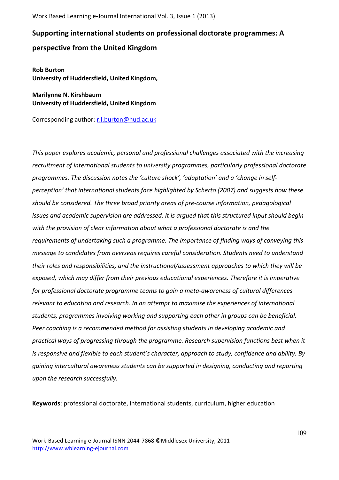# Supporting international students on professional doctorate programmes: A

# **perspective from the United Kingdom**

**Rob\*Burton\* University\*of\*Huddersfield,\*United\*Kingdom,**

**Marilynne N. Kirshbaum University\*of\*Huddersfield,\*United\*Kingdom**

Corresponding author: r.l.burton@hud.ac.uk

*This paper explores academic, personal and professional challenges associated with the increasing* recruitment of international students to university programmes, particularly professional doctorate programmes. The discussion notes the 'culture shock', 'adaptation' and a 'change in self*perception'%that%international%students%face%highlighted%by%Scherto%(2007)%and%suggests%how%these%* should be considered. The three broad priority areas of pre-course information, pedagological issues and academic supervision are addressed. It is argued that this structured input should begin with the provision of clear information about what a professional doctorate is and the requirements of undertaking such a programme. The importance of finding ways of conveying this message to candidates from overseas requires careful consideration. Students need to understand their roles and responsibilities, and the instructional/assessment approaches to which they will be exposed, which may differ from their previous educational experiences. Therefore it is imperative for professional doctorate programme teams to gain a meta-awareness of cultural differences relevant to education and research. In an attempt to maximise the experiences of international students, programmes involving working and supporting each other in groups can be beneficial. Peer coaching is a recommended method for assisting students in developing academic and practical ways of progressing through the programme. Research supervision functions best when it is responsive and flexible to each student's character, approach to study, confidence and ability. By gaining intercultural awareness students can be supported in designing, conducting and reporting *upon the research successfully.* 

Keywords: professional doctorate, international students, curriculum, higher education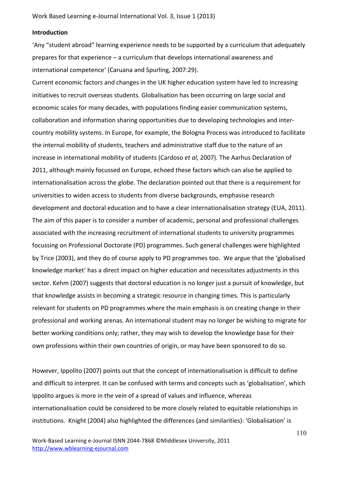#### **Introduction**

'Any "student abroad" learning experience needs to be supported by a curriculum that adequately prepares for that experience – a curriculum that develops international awareness and international competence' (Caruana and Spurling, 2007:29).

Current economic factors and changes in the UK higher education system have led to increasing initiatives to recruit overseas students. Globalisation has been occurring on large social and economic scales for many decades, with populations finding easier communication systems, collaboration and information sharing opportunities due to developing technologies and intercountry mobility systems. In Europe, for example, the Bologna Process was introduced to facilitate the internal mobility of students, teachers and administrative staff due to the nature of an increase in international mobility of students (Cardoso et al, 2007). The Aarhus Declaration of 2011, although mainly focussed on Europe, echoed these factors which can also be applied to internationalisation across the globe. The declaration pointed out that there is a requirement for universities to widen access to students from diverse backgrounds, emphasise research development and doctoral education and to have a clear internationalisation strategy (EUA, 2011). The aim of this paper is to consider a number of academic, personal and professional challenges associated with the increasing recruitment of international students to university programmes focussing on Professional Doctorate (PD) programmes. Such general challenges were highlighted by Trice (2003), and they do of course apply to PD programmes too. We argue that the 'globalised knowledge market' has a direct impact on higher education and necessitates adjustments in this sector. Kehm (2007) suggests that doctoral education is no longer just a pursuit of knowledge, but that knowledge assists in becoming a strategic resource in changing times. This is particularly relevant for students on PD programmes where the main emphasis is on creating change in their professional and working arenas. An international student may no longer be wishing to migrate for better working conditions only; rather, they may wish to develop the knowledge base for their own professions within their own countries of origin, or may have been sponsored to do so.

However, Ippolito (2007) points out that the concept of internationalisation is difficult to define and difficult to interpret. It can be confused with terms and concepts such as 'globalisation', which Ippolito argues is more in the vein of a spread of values and influence, whereas internationalisation could be considered to be more closely related to equitable relationships in institutions. Knight (2004) also highlighted the differences (and similarities): 'Globalisation' is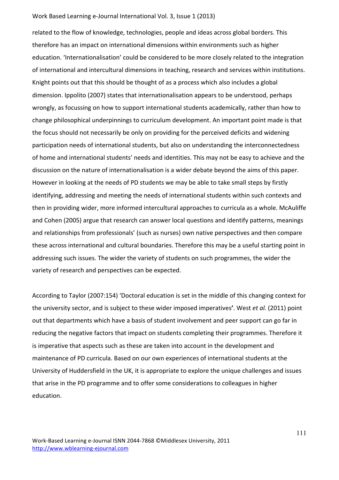related to the flow of knowledge, technologies, people and ideas across global borders. This therefore has an impact on international dimensions within environments such as higher education. 'Internationalisation' could be considered to be more closely related to the integration of international and intercultural dimensions in teaching, research and services within institutions. Knight points out that this should be thought of as a process which also includes a global dimension. Ippolito (2007) states that internationalisation appears to be understood, perhaps wrongly, as focussing on how to support international students academically, rather than how to change philosophical underpinnings to curriculum development. An important point made is that the focus should not necessarily be only on providing for the perceived deficits and widening participation needs of international students, but also on understanding the interconnectedness of home and international students' needs and identities. This may not be easy to achieve and the discussion on the nature of internationalisation is a wider debate beyond the aims of this paper. However in looking at the needs of PD students we may be able to take small steps by firstly identifying, addressing and meeting the needs of international students within such contexts and then in providing wider, more informed intercultural approaches to curricula as a whole. McAuliffe and Cohen (2005) argue that research can answer local questions and identify patterns, meanings and relationships from professionals' (such as nurses) own native perspectives and then compare these across international and cultural boundaries. Therefore this may be a useful starting point in addressing such issues. The wider the variety of students on such programmes, the wider the variety of research and perspectives can be expected.

According to Taylor (2007:154) 'Doctoral education is set in the middle of this changing context for the university sector, and is subject to these wider imposed imperatives<sup>'</sup>. West *et al.* (2011) point out that departments which have a basis of student involvement and peer support can go far in reducing the negative factors that impact on students completing their programmes. Therefore it is imperative that aspects such as these are taken into account in the development and maintenance of PD curricula. Based on our own experiences of international students at the University of Huddersfield in the UK, it is appropriate to explore the unique challenges and issues that arise in the PD programme and to offer some considerations to colleagues in higher education.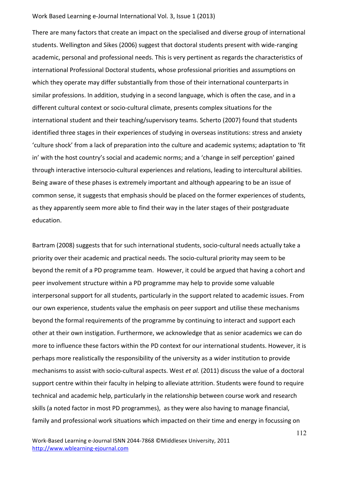There are many factors that create an impact on the specialised and diverse group of international students. Wellington and Sikes (2006) suggest that doctoral students present with wide-ranging academic, personal and professional needs. This is very pertinent as regards the characteristics of international Professional Doctoral students, whose professional priorities and assumptions on which they operate may differ substantially from those of their international counterparts in similar professions. In addition, studying in a second language, which is often the case, and in a different cultural context or socio-cultural climate, presents complex situations for the international student and their teaching/supervisory teams. Scherto (2007) found that students identified three stages in their experiences of studying in overseas institutions: stress and anxiety 'culture shock' from a lack of preparation into the culture and academic systems; adaptation to 'fit in' with the host country's social and academic norms; and a 'change in self perception' gained through interactive intersocio-cultural experiences and relations, leading to intercultural abilities. Being aware of these phases is extremely important and although appearing to be an issue of common sense, it suggests that emphasis should be placed on the former experiences of students, as they apparently seem more able to find their way in the later stages of their postgraduate education.

Bartram (2008) suggests that for such international students, socio-cultural needs actually take a priority over their academic and practical needs. The socio-cultural priority may seem to be beyond the remit of a PD programme team. However, it could be argued that having a cohort and peer involvement structure within a PD programme may help to provide some valuable interpersonal support for all students, particularly in the support related to academic issues. From our own experience, students value the emphasis on peer support and utilise these mechanisms beyond the formal requirements of the programme by continuing to interact and support each other at their own instigation. Furthermore, we acknowledge that as senior academics we can do more to influence these factors within the PD context for our international students. However, it is perhaps more realistically the responsibility of the university as a wider institution to provide mechanisms to assist with socio-cultural aspects. West et al. (2011) discuss the value of a doctoral support centre within their faculty in helping to alleviate attrition. Students were found to require technical and academic help, particularly in the relationship between course work and research skills (a noted factor in most PD programmes), as they were also having to manage financial, family and professional work situations which impacted on their time and energy in focussing on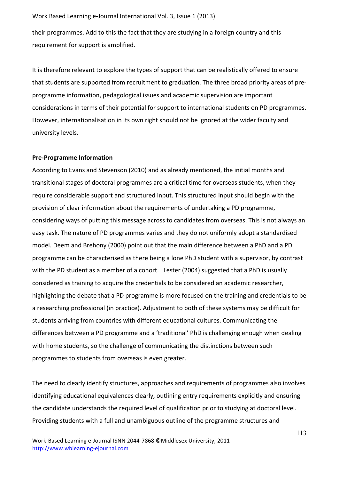their programmes. Add to this the fact that they are studying in a foreign country and this requirement for support is amplified.

It is therefore relevant to explore the types of support that can be realistically offered to ensure that students are supported from recruitment to graduation. The three broad priority areas of preprogramme information, pedagological issues and academic supervision are important considerations in terms of their potential for support to international students on PD programmes. However, internationalisation in its own right should not be ignored at the wider faculty and university levels.

## **Pre-Programme Information**

According to Evans and Stevenson (2010) and as already mentioned, the initial months and transitional stages of doctoral programmes are a critical time for overseas students, when they require considerable support and structured input. This structured input should begin with the provision of clear information about the requirements of undertaking a PD programme, considering ways of putting this message across to candidates from overseas. This is not always an easy task. The nature of PD programmes varies and they do not uniformly adopt a standardised model. Deem and Brehony (2000) point out that the main difference between a PhD and a PD programme can be characterised as there being a lone PhD student with a supervisor, by contrast with the PD student as a member of a cohort. Lester (2004) suggested that a PhD is usually considered as training to acquire the credentials to be considered an academic researcher, highlighting the debate that a PD programme is more focused on the training and credentials to be a researching professional (in practice). Adjustment to both of these systems may be difficult for students arriving from countries with different educational cultures. Communicating the differences between a PD programme and a 'traditional' PhD is challenging enough when dealing with home students, so the challenge of communicating the distinctions between such programmes to students from overseas is even greater.

The need to clearly identify structures, approaches and requirements of programmes also involves identifying educational equivalences clearly, outlining entry requirements explicitly and ensuring the candidate understands the required level of qualification prior to studying at doctoral level. Providing students with a full and unambiguous outline of the programme structures and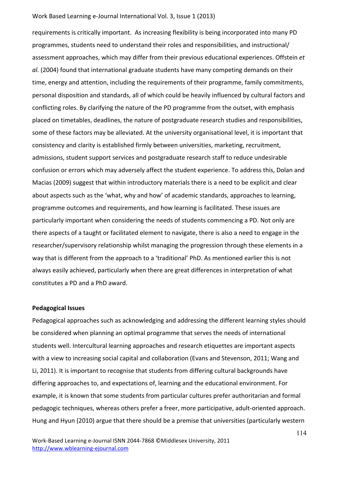requirements is critically important. As increasing flexibility is being incorporated into many PD programmes, students need to understand their roles and responsibilities, and instructional/ assessment approaches, which may differ from their previous educational experiences. Offstein et *al.* (2004) found that international graduate students have many competing demands on their time, energy and attention, including the requirements of their programme, family commitments, personal disposition and standards, all of which could be heavily influenced by cultural factors and conflicting roles. By clarifying the nature of the PD programme from the outset, with emphasis placed on timetables, deadlines, the nature of postgraduate research studies and responsibilities, some of these factors may be alleviated. At the university organisational level, it is important that consistency and clarity is established firmly between universities, marketing, recruitment, admissions, student support services and postgraduate research staff to reduce undesirable confusion or errors which may adversely affect the student experience. To address this, Dolan and Macias (2009) suggest that within introductory materials there is a need to be explicit and clear about aspects such as the 'what, why and how' of academic standards, approaches to learning, programme outcomes and requirements, and how learning is facilitated. These issues are particularly important when considering the needs of students commencing a PD. Not only are there aspects of a taught or facilitated element to navigate, there is also a need to engage in the researcher/supervisory relationship whilst managing the progression through these elements in a way that is different from the approach to a 'traditional' PhD. As mentioned earlier this is not always easily achieved, particularly when there are great differences in interpretation of what constitutes a PD and a PhD award.

#### **Pedagogical Issues**

Pedagogical approaches such as acknowledging and addressing the different learning styles should be considered when planning an optimal programme that serves the needs of international students well. Intercultural learning approaches and research etiquettes are important aspects with a view to increasing social capital and collaboration (Evans and Stevenson, 2011; Wang and Li, 2011). It is important to recognise that students from differing cultural backgrounds have differing approaches to, and expectations of, learning and the educational environment. For example, it is known that some students from particular cultures prefer authoritarian and formal pedagogic techniques, whereas others prefer a freer, more participative, adult-oriented approach. Hung and Hyun (2010) argue that there should be a premise that universities (particularly western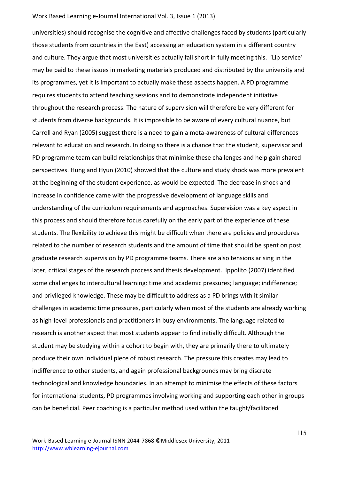universities) should recognise the cognitive and affective challenges faced by students (particularly those students from countries in the East) accessing an education system in a different country and culture. They argue that most universities actually fall short in fully meeting this. 'Lip service' may be paid to these issues in marketing materials produced and distributed by the university and its programmes, yet it is important to actually make these aspects happen. A PD programme requires students to attend teaching sessions and to demonstrate independent initiative throughout the research process. The nature of supervision will therefore be very different for students from diverse backgrounds. It is impossible to be aware of every cultural nuance, but Carroll and Ryan (2005) suggest there is a need to gain a meta-awareness of cultural differences relevant to education and research. In doing so there is a chance that the student, supervisor and PD programme team can build relationships that minimise these challenges and help gain shared perspectives. Hung and Hyun (2010) showed that the culture and study shock was more prevalent at the beginning of the student experience, as would be expected. The decrease in shock and increase in confidence came with the progressive development of language skills and understanding of the curriculum requirements and approaches. Supervision was a key aspect in this process and should therefore focus carefully on the early part of the experience of these students. The flexibility to achieve this might be difficult when there are policies and procedures related to the number of research students and the amount of time that should be spent on post graduate research supervision by PD programme teams. There are also tensions arising in the later, critical stages of the research process and thesis development. Ippolito (2007) identified some challenges to intercultural learning: time and academic pressures; language; indifference; and privileged knowledge. These may be difficult to address as a PD brings with it similar challenges in academic time pressures, particularly when most of the students are already working as high-level professionals and practitioners in busy environments. The language related to research is another aspect that most students appear to find initially difficult. Although the student may be studying within a cohort to begin with, they are primarily there to ultimately produce their own individual piece of robust research. The pressure this creates may lead to indifference to other students, and again professional backgrounds may bring discrete technological and knowledge boundaries. In an attempt to minimise the effects of these factors for international students, PD programmes involving working and supporting each other in groups can be beneficial. Peer coaching is a particular method used within the taught/facilitated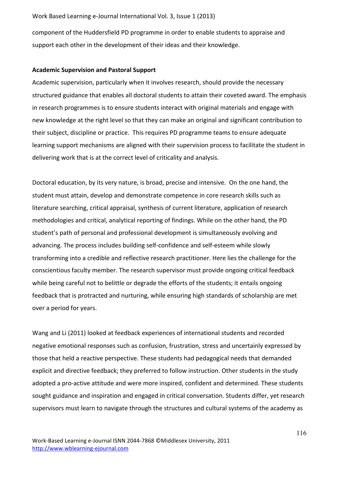component of the Huddersfield PD programme in order to enable students to appraise and support each other in the development of their ideas and their knowledge.

## **Academic Supervision and Pastoral Support**

Academic supervision, particularly when it involves research, should provide the necessary structured guidance that enables all doctoral students to attain their coveted award. The emphasis in research programmes is to ensure students interact with original materials and engage with new knowledge at the right level so that they can make an original and significant contribution to their subject, discipline or practice. This requires PD programme teams to ensure adequate learning support mechanisms are aligned with their supervision process to facilitate the student in delivering work that is at the correct level of criticality and analysis.

Doctoral education, by its very nature, is broad, precise and intensive. On the one hand, the student must attain, develop and demonstrate competence in core research skills such as literature searching, critical appraisal, synthesis of current literature, application of research methodologies and critical, analytical reporting of findings. While on the other hand, the PD student's path of personal and professional development is simultaneously evolving and advancing. The process includes building self-confidence and self-esteem while slowly transforming into a credible and reflective research practitioner. Here lies the challenge for the conscientious faculty member. The research supervisor must provide ongoing critical feedback while being careful not to belittle or degrade the efforts of the students; it entails ongoing feedback that is protracted and nurturing, while ensuring high standards of scholarship are met over a period for years.

Wang and Li (2011) looked at feedback experiences of international students and recorded negative emotional responses such as confusion, frustration, stress and uncertainly expressed by those that held a reactive perspective. These students had pedagogical needs that demanded explicit and directive feedback; they preferred to follow instruction. Other students in the study adopted a pro-active attitude and were more inspired, confident and determined. These students sought guidance and inspiration and engaged in critical conversation. Students differ, yet research supervisors must learn to navigate through the structures and cultural systems of the academy as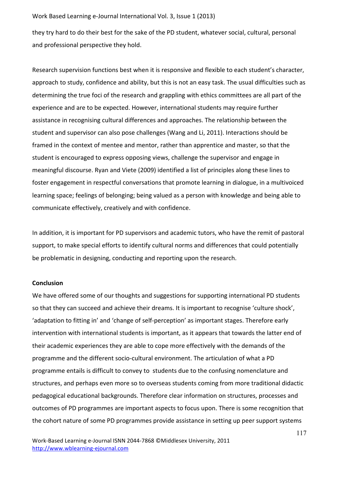they try hard to do their best for the sake of the PD student, whatever social, cultural, personal and professional perspective they hold.

Research supervision functions best when it is responsive and flexible to each student's character, approach to study, confidence and ability, but this is not an easy task. The usual difficulties such as determining the true foci of the research and grappling with ethics committees are all part of the experience and are to be expected. However, international students may require further assistance in recognising cultural differences and approaches. The relationship between the student and supervisor can also pose challenges (Wang and Li, 2011). Interactions should be framed in the context of mentee and mentor, rather than apprentice and master, so that the student is encouraged to express opposing views, challenge the supervisor and engage in meaningful discourse. Ryan and Viete (2009) identified a list of principles along these lines to foster engagement in respectful conversations that promote learning in dialogue, in a multivoiced learning space; feelings of belonging; being valued as a person with knowledge and being able to communicate effectively, creatively and with confidence.

In addition, it is important for PD supervisors and academic tutors, who have the remit of pastoral support, to make special efforts to identify cultural norms and differences that could potentially be problematic in designing, conducting and reporting upon the research.

#### **Conclusion**

We have offered some of our thoughts and suggestions for supporting international PD students so that they can succeed and achieve their dreams. It is important to recognise 'culture shock', 'adaptation to fitting in' and 'change of self-perception' as important stages. Therefore early intervention with international students is important, as it appears that towards the latter end of their academic experiences they are able to cope more effectively with the demands of the programme and the different socio-cultural environment. The articulation of what a PD programme entails is difficult to convey to students due to the confusing nomenclature and structures, and perhaps even more so to overseas students coming from more traditional didactic pedagogical educational backgrounds. Therefore clear information on structures, processes and outcomes of PD programmes are important aspects to focus upon. There is some recognition that the cohort nature of some PD programmes provide assistance in setting up peer support systems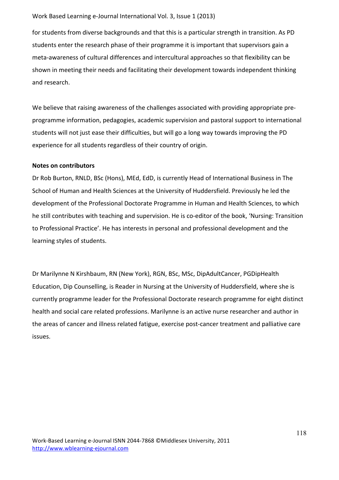for students from diverse backgrounds and that this is a particular strength in transition. As PD students enter the research phase of their programme it is important that supervisors gain a meta-awareness of cultural differences and intercultural approaches so that flexibility can be shown in meeting their needs and facilitating their development towards independent thinking and research.

We believe that raising awareness of the challenges associated with providing appropriate preprogramme information, pedagogies, academic supervision and pastoral support to international students will not just ease their difficulties, but will go a long way towards improving the PD experience for all students regardless of their country of origin.

#### **Notes on contributors**

Dr Rob Burton, RNLD, BSc (Hons), MEd, EdD, is currently Head of International Business in The School of Human and Health Sciences at the University of Huddersfield. Previously he led the development of the Professional Doctorate Programme in Human and Health Sciences, to which he still contributes with teaching and supervision. He is co-editor of the book, 'Nursing: Transition to Professional Practice'. He has interests in personal and professional development and the learning styles of students.

Dr Marilynne N Kirshbaum, RN (New York), RGN, BSc, MSc, DipAdultCancer, PGDipHealth Education, Dip Counselling, is Reader in Nursing at the University of Huddersfield, where she is currently programme leader for the Professional Doctorate research programme for eight distinct health and social care related professions. Marilynne is an active nurse researcher and author in the areas of cancer and illness related fatigue, exercise post-cancer treatment and palliative care issues.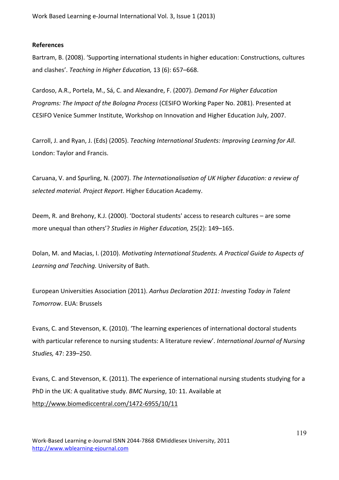## **References**

Bartram, B. (2008). 'Supporting international students in higher education: Constructions, cultures and clashes'. *Teaching in Higher Education*, 13 (6): 657–668.

Cardoso, A.R., Portela, M., Sá, C. and Alexandre, F. (2007). *Demand For Higher Education Programs: The Impact of the Bologna Process (CESIFO Working Paper No. 2081). Presented at* CESIFO Venice Summer Institute, Workshop on Innovation and Higher Education July, 2007.

Carroll, J. and Ryan, J. (Eds) (2005). *Teaching International Students: Improving Learning for All.* London: Taylor and Francis.

Caruana, V. and Spurling, N. (2007). *The Internationalisation of UK Higher Education: a review of* selected material. Project Report. Higher Education Academy.

Deem, R. and Brehony, K.J. (2000). 'Doctoral students' access to research cultures – are some more unequal than others'? Studies in Higher Education, 25(2): 149–165.

Dolan, M. and Macias, I. (2010). *Motivating International Students. A Practical Guide to Aspects of* Learning and Teaching. University of Bath.

European%Universities%Association%(2011).%*Aarhus%Declaration%2011:%Investing%Today%in%Talent% Tomorrow. FUA: Brussels* 

Evans, C. and Stevenson, K. (2010). 'The learning experiences of international doctoral students with particular reference to nursing students: A literature review'. *International Journal of Nursing Studies,*%47:%239–250.

Evans, C. and Stevenson, K. (2011). The experience of international nursing students studying for a PhD in the UK: A qualitative study. *BMC Nursing*, 10: 11. Available at http://www.biomediccentral.com/1472-6955/10/11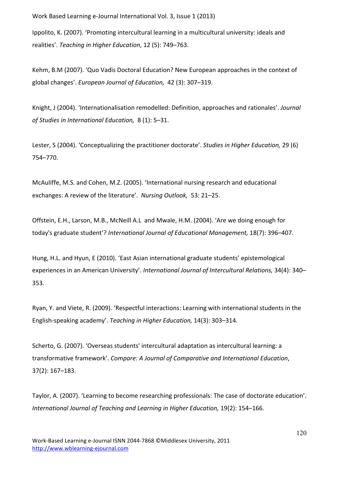Ippolito, K. (2007). 'Promoting intercultural learning in a multicultural university: ideals and realities'. Teaching in Higher Education, 12 (5): 749–763.

Kehm, B.M (2007). 'Quo Vadis Doctoral Education? New European approaches in the context of global changes'. *European Journal of Education*, 42 (3): 307–319.

Knight, J (2004). 'Internationalisation remodelled: Definition, approaches and rationales'. *Journal* of Studies in International Education, 8 (1): 5–31.

Lester, S (2004). 'Conceptualizing the practitioner doctorate'. *Studies in Higher Education,* 29 (6) 754–770.

McAuliffe, M.S. and Cohen, M.Z. (2005). 'International nursing research and educational exchanges: A review of the literature'. Nursing Outlook, 53: 21–25.

Offstein, E.H., Larson, M.B., McNeill A.L and Mwale, H.M. (2004). 'Are we doing enough for today's graduate student'? *International Journal of Educational Management*, 18(7): 396–407.

Hung, H.L. and Hyun, E (2010). 'East Asian international graduate students' epistemological experiences in an American University'. International Journal of Intercultural Relations, 34(4): 340– 353.

Ryan, Y. and Viete, R. (2009). 'Respectful interactions: Learning with international students in the English-speaking academy'. *Teaching in Higher Education*, 14(3): 303–314.

Scherto, G. (2007). 'Overseas students' intercultural adaptation as intercultural learning: a transformative framework'. Compare: A Journal of Comparative and International Education, 37(2):%167–183.

Taylor, A. (2007). 'Learning to become researching professionals: The case of doctorate education'. *International Journal of Teaching and Learning in Higher Education, 19(2): 154–166.*